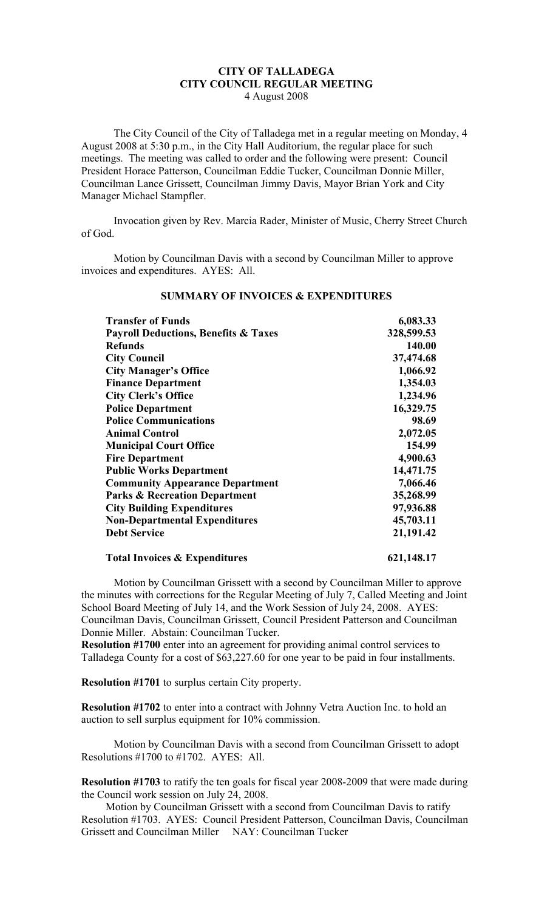## **CITY OF TALLADEGA CITY COUNCIL REGULAR MEETING** 4 August 2008

The City Council of the City of Talladega met in a regular meeting on Monday, 4 August 2008 at 5:30 p.m., in the City Hall Auditorium, the regular place for such meetings. The meeting was called to order and the following were present: Council President Horace Patterson, Councilman Eddie Tucker, Councilman Donnie Miller, Councilman Lance Grissett, Councilman Jimmy Davis, Mayor Brian York and City Manager Michael Stampfler.

Invocation given by Rev. Marcia Rader, Minister of Music, Cherry Street Church of God.

Motion by Councilman Davis with a second by Councilman Miller to approve invoices and expenditures. AYES: All.

| <b>Transfer of Funds</b>                        | 6,083.33            |
|-------------------------------------------------|---------------------|
| <b>Payroll Deductions, Benefits &amp; Taxes</b> | 328,599.53          |
| <b>Refunds</b><br><b>City Council</b>           | 140.00<br>37,474.68 |
|                                                 |                     |
| <b>Finance Department</b>                       | 1,354.03            |
| <b>City Clerk's Office</b>                      | 1,234.96            |
| <b>Police Department</b>                        | 16,329.75           |
| <b>Police Communications</b>                    | 98.69               |
| <b>Animal Control</b>                           | 2,072.05            |
| <b>Municipal Court Office</b>                   | 154.99              |
| <b>Fire Department</b>                          | 4,900.63            |
| <b>Public Works Department</b>                  | 14,471.75           |
| <b>Community Appearance Department</b>          | 7,066.46            |
| <b>Parks &amp; Recreation Department</b>        | 35,268.99           |
| <b>City Building Expenditures</b>               | 97,936.88           |
| <b>Non-Departmental Expenditures</b>            | 45,703.11           |
| <b>Debt Service</b>                             | 21,191.42           |
| <b>Total Invoices &amp; Expenditures</b>        | 621,148.17          |

## **SUMMARY OF INVOICES & EXPENDITURES**

Motion by Councilman Grissett with a second by Councilman Miller to approve the minutes with corrections for the Regular Meeting of July 7, Called Meeting and Joint School Board Meeting of July 14, and the Work Session of July 24, 2008. AYES: Councilman Davis, Councilman Grissett, Council President Patterson and Councilman Donnie Miller. Abstain: Councilman Tucker.

**Resolution #1700** enter into an agreement for providing animal control services to Talladega County for a cost of \$63,227.60 for one year to be paid in four installments.

**Resolution #1701** to surplus certain City property.

**Resolution #1702** to enter into a contract with Johnny Vetra Auction Inc. to hold an auction to sell surplus equipment for 10% commission.

Motion by Councilman Davis with a second from Councilman Grissett to adopt Resolutions #1700 to #1702. AYES: All.

**Resolution #1703** to ratify the ten goals for fiscal year 2008-2009 that were made during the Council work session on July 24, 2008.

Motion by Councilman Grissett with a second from Councilman Davis to ratify Resolution #1703. AYES: Council President Patterson, Councilman Davis, Councilman Grissett and Councilman Miller NAY: Councilman Tucker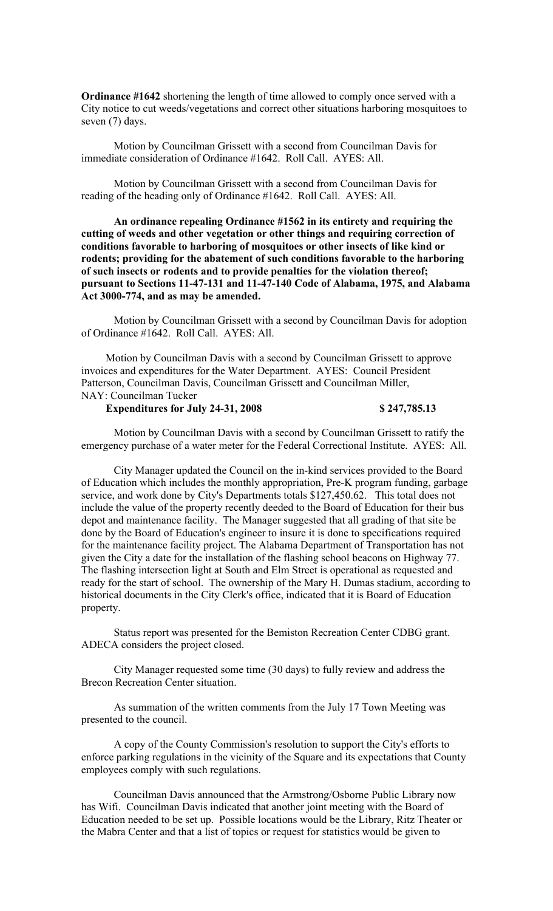**Ordinance #1642** shortening the length of time allowed to comply once served with a City notice to cut weeds/vegetations and correct other situations harboring mosquitoes to seven (7) days.

Motion by Councilman Grissett with a second from Councilman Davis for immediate consideration of Ordinance #1642. Roll Call. AYES: All.

Motion by Councilman Grissett with a second from Councilman Davis for reading of the heading only of Ordinance #1642. Roll Call. AYES: All.

**An ordinance repealing Ordinance #1562 in its entirety and requiring the cutting of weeds and other vegetation or other things and requiring correction of conditions favorable to harboring of mosquitoes or other insects of like kind or rodents; providing for the abatement of such conditions favorable to the harboring of such insects or rodents and to provide penalties for the violation thereof; pursuant to Sections 11-47-131 and 11-47-140 Code of Alabama, 1975, and Alabama Act 3000-774, and as may be amended.**

Motion by Councilman Grissett with a second by Councilman Davis for adoption of Ordinance #1642. Roll Call. AYES: All.

Motion by Councilman Davis with a second by Councilman Grissett to approve invoices and expenditures for the Water Department. AYES: Council President Patterson, Councilman Davis, Councilman Grissett and Councilman Miller, NAY: Councilman Tucker

## **Expenditures for July 24-31, 2008 \$ 247,785.13**

Motion by Councilman Davis with a second by Councilman Grissett to ratify the emergency purchase of a water meter for the Federal Correctional Institute. AYES: All.

City Manager updated the Council on the in-kind services provided to the Board of Education which includes the monthly appropriation, Pre-K program funding, garbage service, and work done by City's Departments totals \$127,450.62. This total does not include the value of the property recently deeded to the Board of Education for their bus depot and maintenance facility. The Manager suggested that all grading of that site be done by the Board of Education's engineer to insure it is done to specifications required for the maintenance facility project. The Alabama Department of Transportation has not given the City a date for the installation of the flashing school beacons on Highway 77. The flashing intersection light at South and Elm Street is operational as requested and ready for the start of school. The ownership of the Mary H. Dumas stadium, according to historical documents in the City Clerk's office, indicated that it is Board of Education property.

Status report was presented for the Bemiston Recreation Center CDBG grant. ADECA considers the project closed.

City Manager requested some time (30 days) to fully review and address the Brecon Recreation Center situation.

As summation of the written comments from the July 17 Town Meeting was presented to the council.

A copy of the County Commission's resolution to support the City's efforts to enforce parking regulations in the vicinity of the Square and its expectations that County employees comply with such regulations.

Councilman Davis announced that the Armstrong/Osborne Public Library now has Wifi. Councilman Davis indicated that another joint meeting with the Board of Education needed to be set up. Possible locations would be the Library, Ritz Theater or the Mabra Center and that a list of topics or request for statistics would be given to